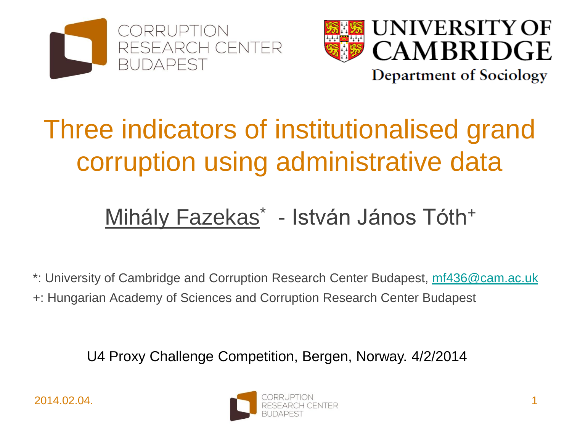



#### Three indicators of institutionalised grand corruption using administrative data

#### Mihály Fazekas\* - István János Tóth+

\*: University of Cambridge and Corruption Research Center Budapest, [mf436@cam.ac.uk](mailto:mf436@cam.ac.uk)

+: Hungarian Academy of Sciences and Corruption Research Center Budapest

U4 Proxy Challenge Competition, Bergen, Norway. 4/2/2014

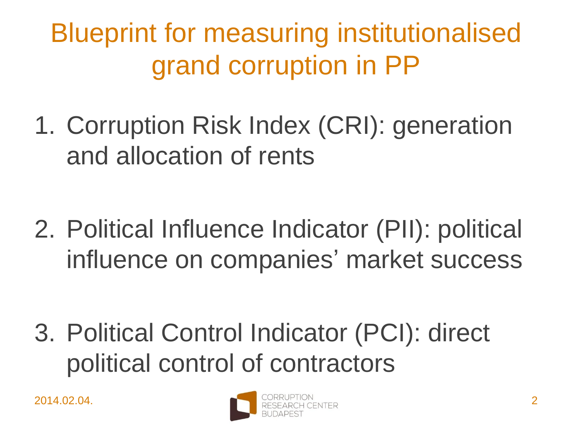Blueprint for measuring institutionalised grand corruption in PP

- 1. Corruption Risk Index (CRI): generation and allocation of rents
- 2. Political Influence Indicator (PII): political influence on companies' market success

3. Political Control Indicator (PCI): direct political control of contractors

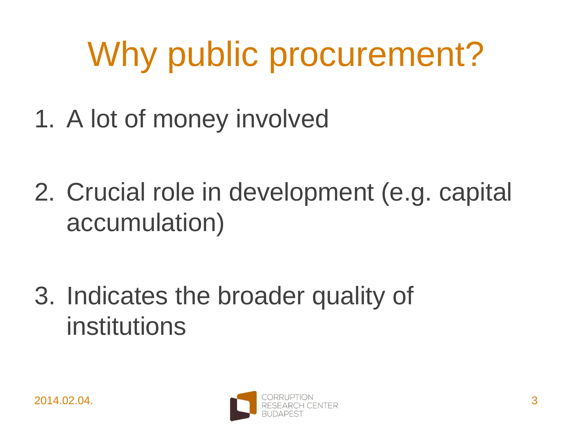# Why public procurement?

- 1. A lot of money involved
- 2. Crucial role in development (e.g. capital accumulation)
- 3. Indicates the broader quality of institutions

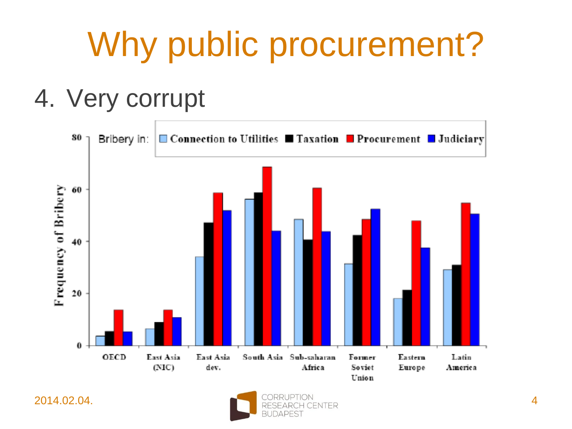## Why public procurement?

#### 4. Very corrupt



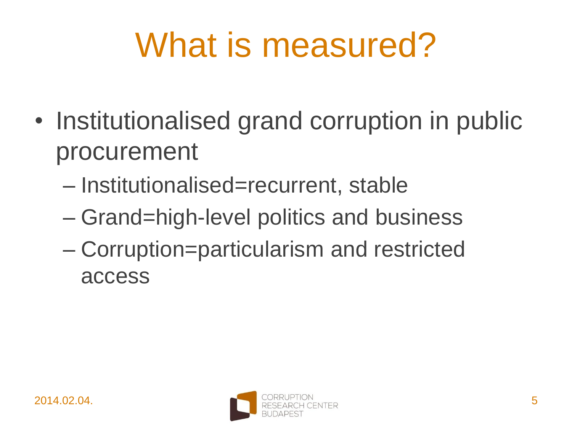### What is measured?

- Institutionalised grand corruption in public procurement
	- Institutionalised=recurrent, stable
	- Grand=high-level politics and business
	- Corruption=particularism and restricted access

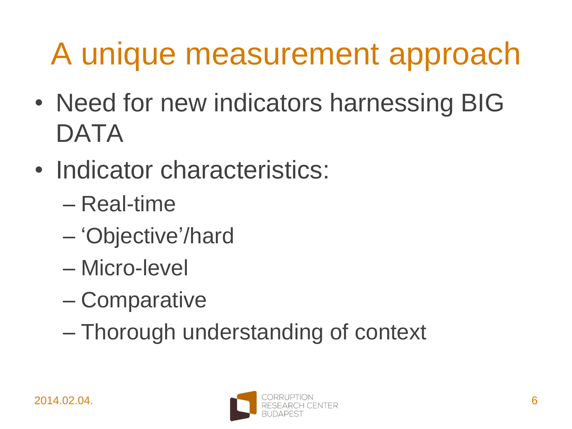#### A unique measurement approach

- Need for new indicators harnessing BIG **DATA**
- Indicator characteristics:
	- Real-time
	- 'Objective'/hard
	- Micro-level
	- Comparative
	- Thorough understanding of context

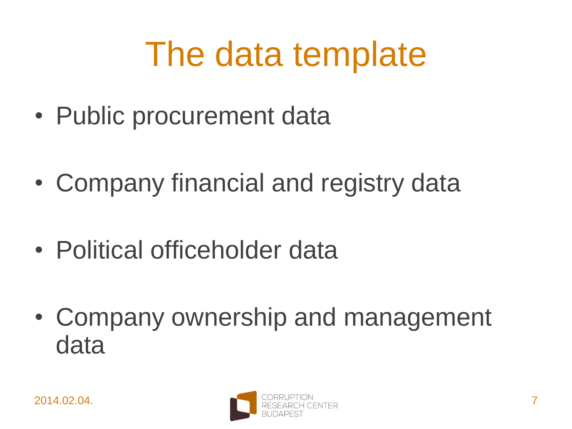#### The data template

- Public procurement data
- Company financial and registry data
- Political officeholder data
- Company ownership and management data

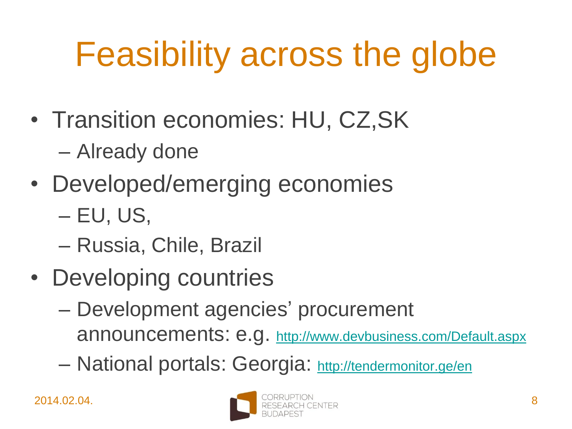## Feasibility across the globe

- Transition economies: HU, CZ, SK
	- Already done
- Developed/emerging economies
	- EU, US,
	- Russia, Chile, Brazil
- Developing countries
	- Development agencies' procurement announcements: e.g. <http://www.devbusiness.com/Default.aspx>
	- National portals: Georgia: <http://tendermonitor.ge/en>

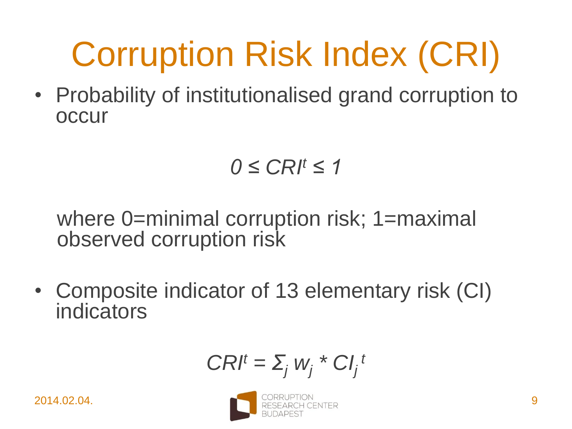# Corruption Risk Index (CRI)

• Probability of institutionalised grand corruption to occur

$$
0\leq C R l^t \leq 1
$$

where 0=minimal corruption risk; 1=maximal observed corruption risk

• Composite indicator of 13 elementary risk (CI) indicators

$$
CRI^t = \sum_j w_j^* C I_j^t
$$

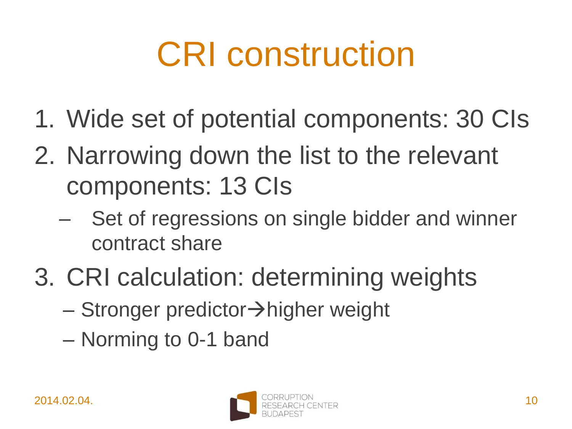## CRI construction

- 1. Wide set of potential components: 30 CIs
- 2. Narrowing down the list to the relevant components: 13 CIs
	- Set of regressions on single bidder and winner contract share
- 3. CRI calculation: determining weights
	- $-$  Stronger predictor $\rightarrow$ higher weight
	- Norming to 0-1 band

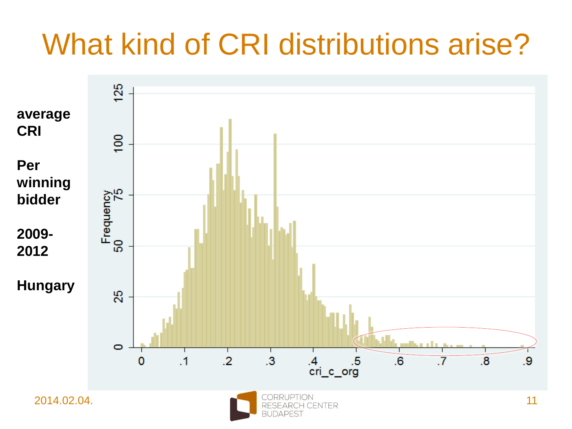#### What kind of CRI distributions arise?

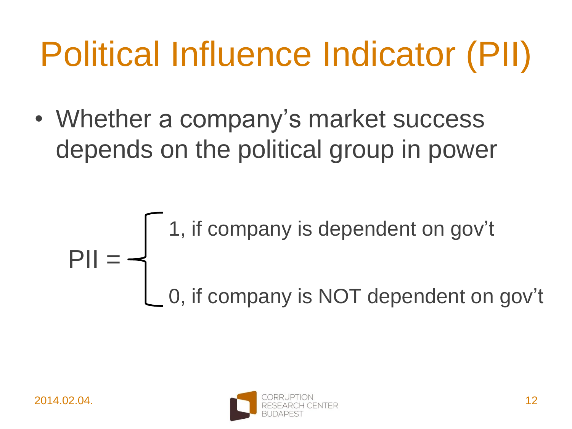## Political Influence Indicator (PII)

• Whether a company's market success depends on the political group in power

$$
PII = \begin{cases} 1, & \text{if company is dependent on gov't} \\ 0, & \text{if company is NOT dependent on gov't} \end{cases}
$$

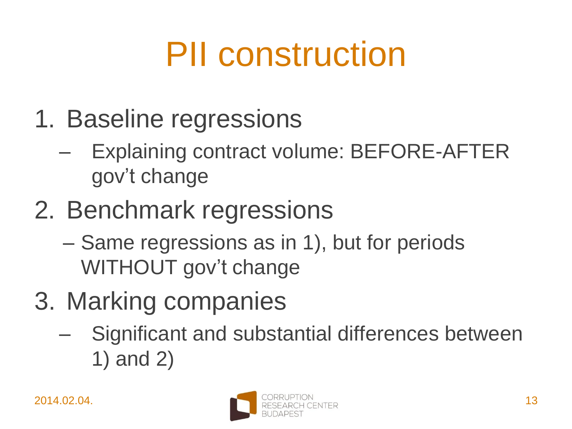## PII construction

- 1. Baseline regressions
	- Explaining contract volume: BEFORE-AFTER gov't change
- 2. Benchmark regressions
	- Same regressions as in 1), but for periods WITHOUT gov't change
- 3. Marking companies
	- Significant and substantial differences between 1) and 2)

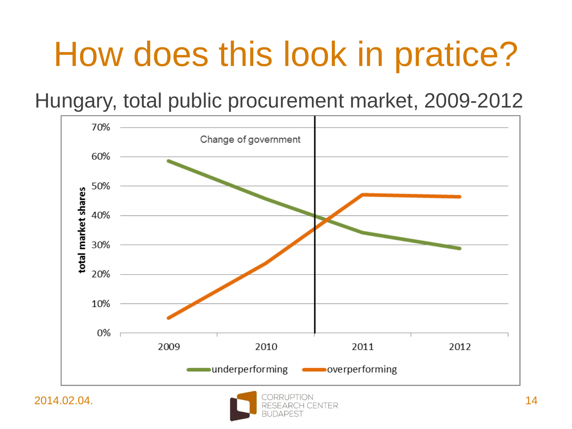### How does this look in pratice?

Hungary, total public procurement market, 2009-2012

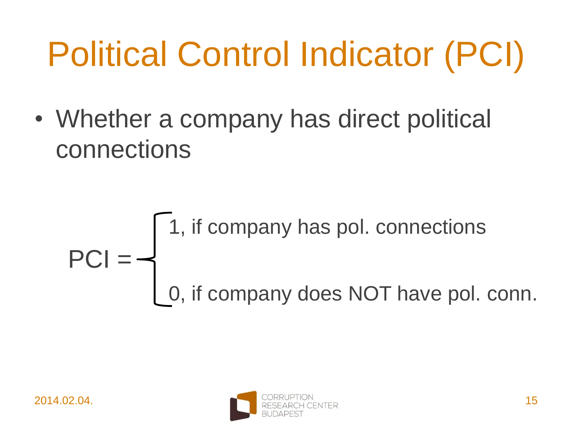## Political Control Indicator (PCI)

• Whether a company has direct political connections

$$
PCI = \begin{cases} 1, & \text{if company has pol. connections} \\ 0, & \text{if company does NOT have pol. conn.} \end{cases}
$$

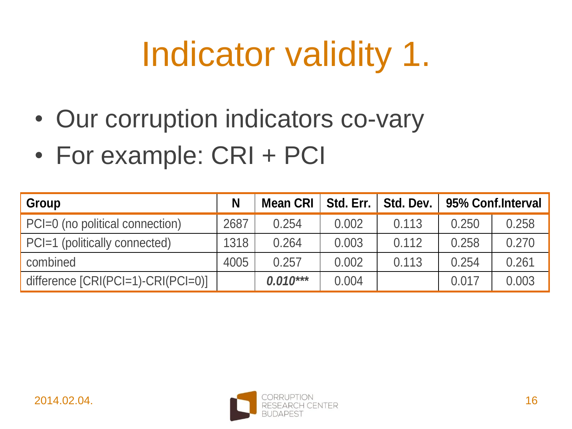## Indicator validity 1.

- Our corruption indicators co-vary
- For example: CRI + PCI

| Group                                | N    | <b>Mean CRI</b> | Std. Err. | Std. Dev. | 95% Conf.Interval |       |
|--------------------------------------|------|-----------------|-----------|-----------|-------------------|-------|
| PCI=0 (no political connection)      | 2687 | 0.254           | 0.002     | 0.113     | 0.250             | 0.258 |
| PCI=1 (politically connected)        | 1318 | 0.264           | 0.003     | 0.112     | 0.258             | 0.270 |
| combined                             | 4005 | 0.257           | 0.002     | 0.113     | 0.254             | 0.261 |
| difference $[CRI(PCI=1)-CRI(PCI=0)]$ |      | $0.010***$      | 0.004     |           | 0.017             | 0.003 |

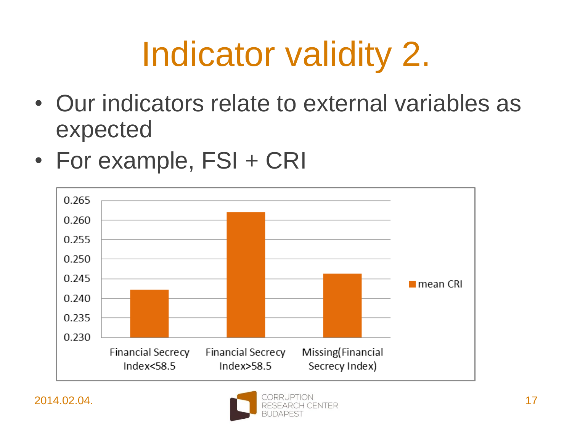# Indicator validity 2.

- Our indicators relate to external variables as expected
- For example, FSI + CRI



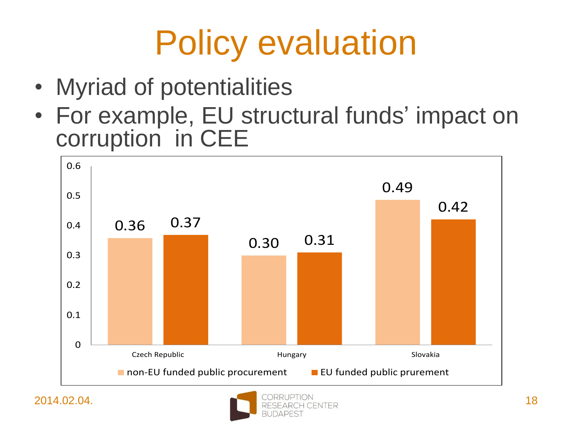## Policy evaluation

- Myriad of potentialities
- For example, EU structural funds' impact on corruption in CEE



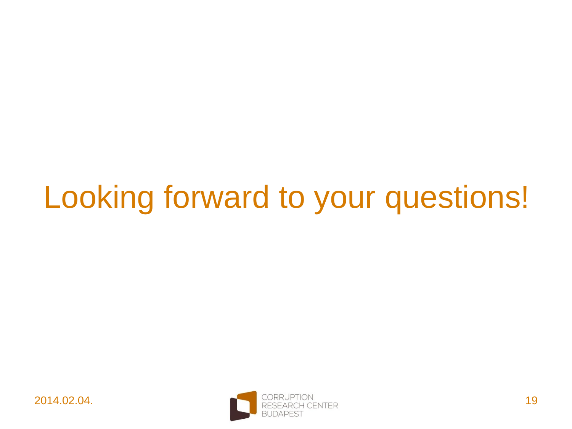#### Looking forward to your questions!

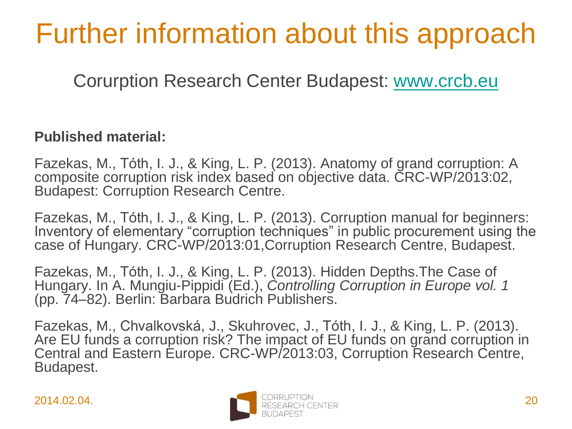#### Further information about this approach

Corurption Research Center Budapest: [www.crcb.eu](http://www.crcb.eu/)

#### **Published material:**

Fazekas, M., Tóth, I. J., & King, L. P. (2013). Anatomy of grand corruption: A composite corruption risk index based on objective data. CRC-WP/2013:02, Budapest: Corruption Research Centre.

Fazekas, M., Tóth, I. J., & King, L. P. (2013). Corruption manual for beginners: Inventory of elementary "corruption techniques" in public procurement using the case of Hungary. CRC-WP/2013:01,Corruption Research Centre, Budapest.

Fazekas, M., Tóth, I. J., & King, L. P. (2013). Hidden Depths.The Case of Hungary. In A. Mungiu-Pippidi (Ed.), *Controlling Corruption in Europe vol. 1* (pp. 74–82). Berlin: Barbara Budrich Publishers.

Fazekas, M., Chvalkovská, J., Skuhrovec, J., Tóth, I. J., & King, L. P. (2013). Are EU funds a corruption risk? The impact of EU funds on grand corruption in Central and Eastern Europe. CRC-WP/2013:03, Corruption Research Centre, Budapest.

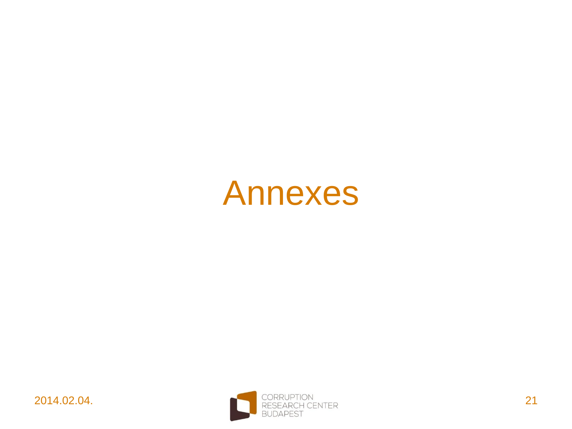#### Annexes

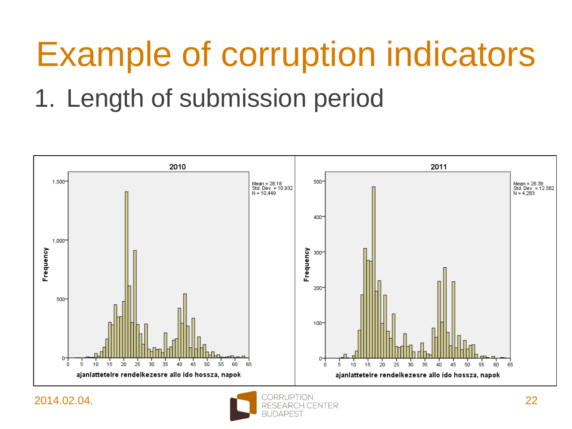#### Example of corruption indicators

#### 1. Length of submission period



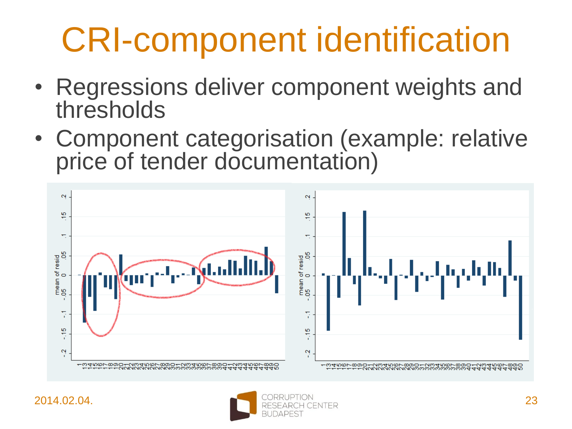## CRI-component identification

- Regressions deliver component weights and thresholds
- Component categorisation (example: relative price of tender documentation)



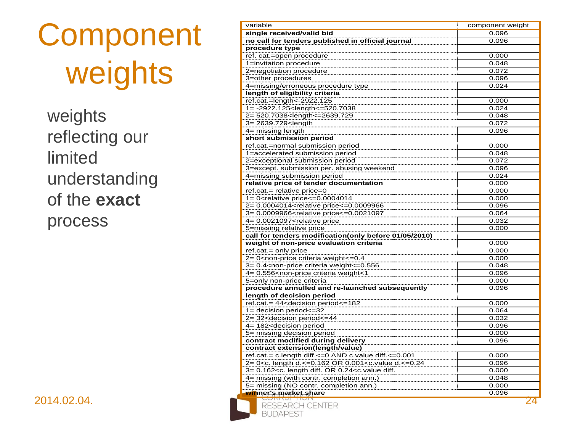#### Component weights



| Component           | variable                                                                                                            | component weight |
|---------------------|---------------------------------------------------------------------------------------------------------------------|------------------|
|                     | single received/valid bid                                                                                           | 0.096            |
|                     | no call for tenders published in official journal                                                                   | 0.096            |
|                     | procedure type                                                                                                      |                  |
|                     | ref. cat.=open procedure                                                                                            | 0.000            |
|                     | 1=invitation procedure                                                                                              | 0.048            |
| weights             | 2=negotiation procedure                                                                                             | 0.072            |
|                     | 3=other procedures                                                                                                  | 0.096            |
|                     | 4=missing/erroneous procedure type                                                                                  | 0.024            |
|                     | length of eligibility criteria                                                                                      |                  |
|                     | $ref.cat = length < -2922.125$                                                                                      | 0.000            |
|                     | 1= -2922.125 <length<=520.7038< td=""><td>0.024</td></length<=520.7038<>                                            | 0.024            |
| weights             | 2= 520.7038 <length<=2639.729< td=""><td>0.048</td></length<=2639.729<>                                             | 0.048            |
|                     | 3= 2639.729 <length< td=""><td>0.072</td></length<>                                                                 | 0.072            |
|                     | $4=$ missing length                                                                                                 | 0.096            |
| reflecting our      | short submission period                                                                                             |                  |
|                     | ref.cat.=normal submission period                                                                                   | 0.000            |
| limited             | 1=accelerated submission period                                                                                     | 0.048            |
|                     | 2=exceptional submission period                                                                                     | 0.072            |
|                     | 3=except. submission per. abusing weekend                                                                           | 0.096            |
| understanding       | 4=missing submission period                                                                                         | 0.024            |
|                     | relative price of tender documentation                                                                              | 0.000<br>0.000   |
|                     | $ref.cat = relative price = 0$                                                                                      | 0.000            |
| of the <b>exact</b> | $1 = 0$ < relative price <= 0.0004014<br>2= 0.0004014 <relative price<="0.0009966&lt;/td"><td>0.096</td></relative> | 0.096            |
|                     | 3= 0.0009966 <relative price<="0.0021097&lt;/td"><td>0.064</td></relative>                                          | 0.064            |
|                     | $4=0.0021097$ -relative price                                                                                       | 0.032            |
| process             | 5=missing relative price                                                                                            | 0.000            |
|                     | call for tenders modification(only before 01/05/2010)                                                               |                  |
|                     | weight of non-price evaluation criteria                                                                             | 0.000            |
|                     | $ref.cat = only price$                                                                                              | 0.000            |
|                     | 2= 0 <non-price criteria="" weight<="0.4&lt;/td"><td>0.000</td></non-price>                                         | 0.000            |
|                     | 3= 0.4 <non-price criteria="" weight<="0.556&lt;/td"><td>0.048</td></non-price>                                     | 0.048            |
|                     | 4= 0.556 <non-price criteria="" td="" weight<1<=""><td>0.096</td></non-price>                                       | 0.096            |
|                     | 5=only non-price criteria                                                                                           | 0.000            |
|                     | procedure annulled and re-launched subsequently                                                                     | 0.096            |
|                     | length of decision period                                                                                           |                  |
|                     | ref.cat.= 44 <decision period<="182&lt;/td"><td>0.000</td></decision>                                               | 0.000            |
|                     | $1 =$ decision period $\leq$ =32                                                                                    | 0.064            |
|                     | 2= 32 <decision period<="44&lt;/td"><td>0.032</td></decision>                                                       | 0.032            |
|                     | 4= 182 <decision period<="" td=""><td>0.096</td></decision>                                                         | 0.096            |
|                     | 5= missing decision period                                                                                          | 0.000            |
|                     | contract modified during delivery                                                                                   | 0.096            |
|                     | contract extension(length/value)                                                                                    |                  |
|                     | ref.cat.= c.length diff.<=0 AND c.value diff.<=0.001                                                                | 0.000            |
|                     | 2= 0 <c. 0.001<c.value="" d.<="0.24&lt;/td" length="" or=""><td>0.096</td></c.>                                     | 0.096            |
|                     | $3 = 0.162 < c$ . length diff. OR 0.24 $<$ c. value diff.                                                           | 0.000            |
|                     | 4= missing (with contr. completion ann.)                                                                            | 0.048            |
|                     | 5= missing (NO contr. completion ann.)                                                                              | 0.000            |
|                     | winner's market share                                                                                               | 0.096            |
| 2014.02.04.         | RESEARCH CENTER<br><b>BUDAPEST</b>                                                                                  | 24               |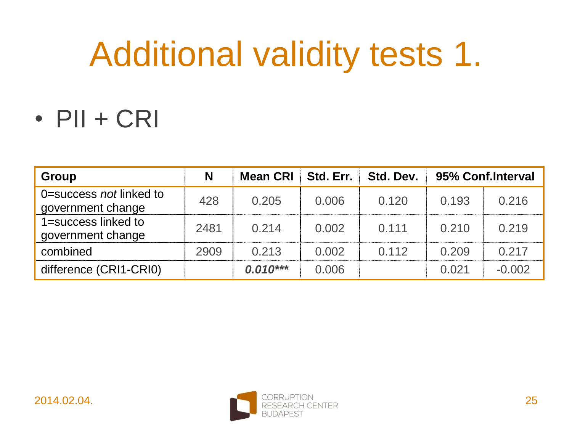#### Additional validity tests 1.

#### $\cdot$  PII + CRI

| Group                                               | N    | <b>Mean CRI</b> | Std. Err. | Std. Dev. | 95% Conf. Interval |          |
|-----------------------------------------------------|------|-----------------|-----------|-----------|--------------------|----------|
| 0=success <i>not</i> linked to<br>government change | 428  | 0.205           | 0.006     | 0.120     | 0.193              | 0.216    |
| 1=success linked to<br>government change            | 2481 | 0.214           | 0.002     | 0.111     | 0.210              | 0.219    |
| combined                                            | 2909 | 0.213           | 0.002     | 0.112     | 0.209              | 0.217    |
| difference (CRI1-CRI0)                              |      | $0.010***$      | 0.006     |           | 0.021              | $-0.002$ |

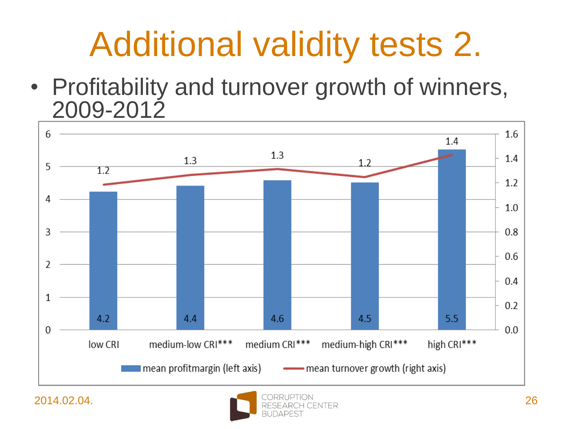## Additional validity tests 2.

• Profitability and turnover growth of winners, 2009-2012



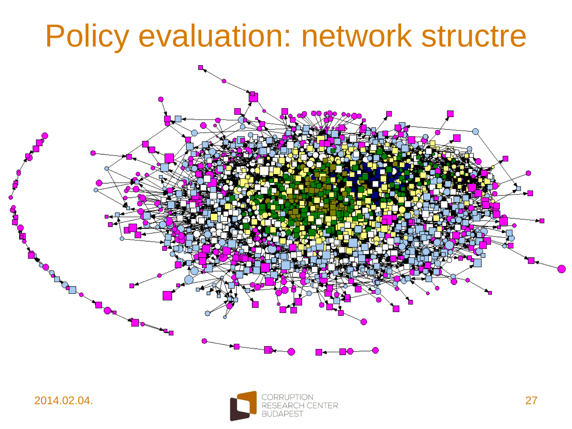#### Policy evaluation: network structre